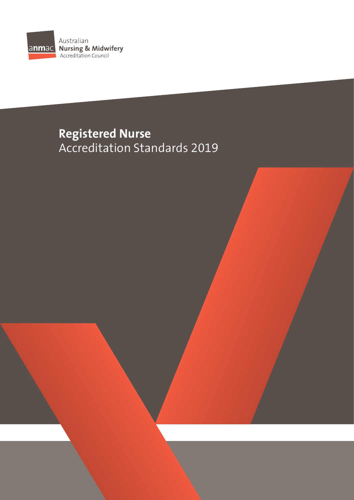

# **Registered Nurse**  Accreditation Standards 2019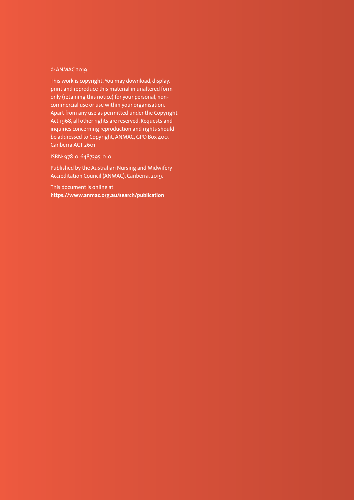#### © ANMAC 2019

This work is copyright. You may download, display, print and reproduce this material in unaltered form only (retaining this notice) for your personal, noncommercial use or use within your organisation. Apart from any use as permitted under the Copyright Act 1968, all other rights are reserved. Requests and inquiries concerning reproduction and rights should be addressed to Copyright, ANMAC, GPO Box 400, Canberra ACT 2601

#### ISBN: 978-0-6487395-0-0

Published by the Australian Nursing and Midwifery Accreditation Council (ANMAC), Canberra, 2019.

This document is online at **<https://www.anmac.org.au/search/publication>**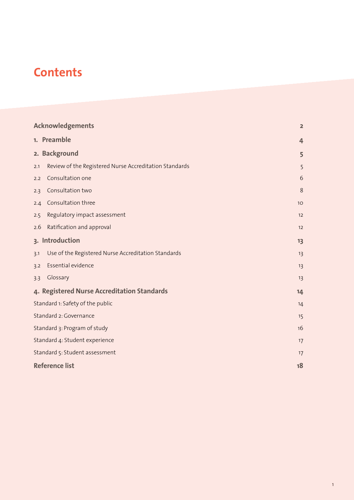# **Contents**

| <b>Acknowledgements</b>                     |                                                        | $\overline{\mathbf{2}}$ |
|---------------------------------------------|--------------------------------------------------------|-------------------------|
|                                             | 1. Preamble                                            | 4                       |
|                                             | 2. Background                                          | 5                       |
| 2.1                                         | Review of the Registered Nurse Accreditation Standards | 5                       |
| 2.2                                         | Consultation one                                       | 6                       |
| 2.3                                         | Consultation two                                       | 8                       |
| 2.4                                         | Consultation three                                     | 10                      |
| 2.5                                         | Regulatory impact assessment                           | 12                      |
| 2.6                                         | Ratification and approval                              | 12                      |
| 3. Introduction                             |                                                        | 13                      |
| 3.1                                         | Use of the Registered Nurse Accreditation Standards    | 13                      |
| 3.2                                         | Essential evidence                                     | 13                      |
| 3.3                                         | Glossary                                               | 13                      |
| 4. Registered Nurse Accreditation Standards |                                                        | 14                      |
| Standard 1: Safety of the public            |                                                        | 14                      |
| Standard 2: Governance                      |                                                        | 15                      |
| Standard 3: Program of study                |                                                        | 16                      |
| Standard 4: Student experience              |                                                        | 17                      |
| Standard 5: Student assessment              |                                                        | 17                      |
| <b>Reference list</b>                       |                                                        | 18                      |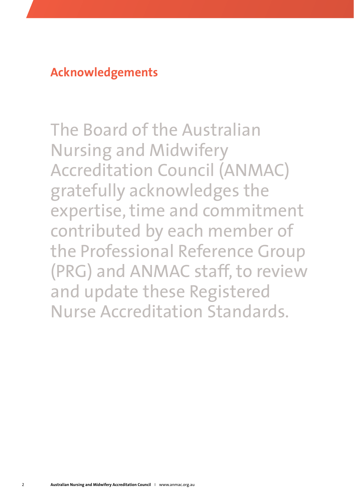<span id="page-3-0"></span>**Acknowledgements**

The Board of the Australian Nursing and Midwifery Accreditation Council (ANMAC) gratefully acknowledges the expertise, time and commitment contributed by each member of the Professional Reference Group (PRG) and ANMAC staff, to review and update these Registered Nurse Accreditation Standards.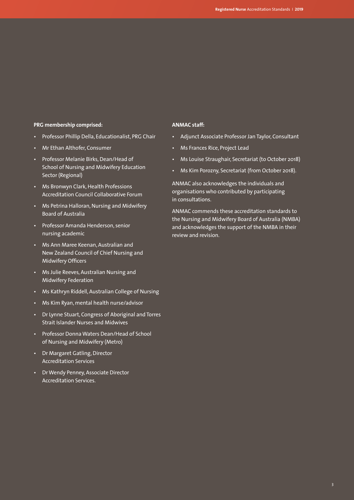#### **PRG membership comprised:**

- Professor Phillip Della, Educationalist, PRG Chair
- Mr Ethan Althofer, Consumer
- Professor Melanie Birks, Dean/Head of School of Nursing and Midwifery Education Sector (Regional)
- Ms Bronwyn Clark, Health Professions Accreditation Council Collaborative Forum
- Ms Petrina Halloran, Nursing and Midwifery Board of Australia
- Professor Amanda Henderson, senior nursing academic
- Ms Ann Maree Keenan, Australian and New Zealand Council of Chief Nursing and Midwifery Officers
- Ms Julie Reeves, Australian Nursing and Midwifery Federation
- Ms Kathryn Riddell, Australian College of Nursing
- Ms Kim Ryan, mental health nurse/advisor
- Dr Lynne Stuart, Congress of Aboriginal and Torres Strait Islander Nurses and Midwives
- Professor Donna Waters Dean/Head of School of Nursing and Midwifery (Metro)
- Dr Margaret Gatling, Director Accreditation Services
- Dr Wendy Penney, Associate Director Accreditation Services.

#### **ANMAC staff:**

- Adjunct Associate Professor Jan Taylor, Consultant
- Ms Frances Rice, Project Lead
- Ms Louise Straughair, Secretariat (to October 2018)
- Ms Kim Porozny, Secretariat (from October 2018).

ANMAC also acknowledges the individuals and organisations who contributed by participating in consultations.

ANMAC commends these accreditation standards to the Nursing and Midwifery Board of Australia (NMBA) and acknowledges the support of the NMBA in their review and revision.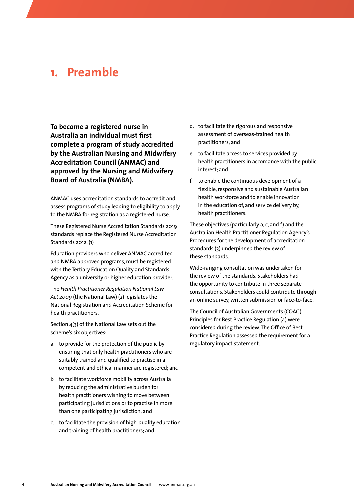### <span id="page-5-0"></span>**1. Preamble**

**To become a registered nurse in Australia an individual must first complete a program of study accredited by the Australian Nursing and Midwifery Accreditation Council (ANMAC) and approved by the Nursing and Midwifery Board of Australia (NMBA).** 

ANMAC uses accreditation standards to accredit and assess programs of study leading to eligibility to apply to the NMBA for registration as a registered nurse.

These Registered Nurse Accreditation Standards 2019 standards replace the Registered Nurse Accreditation Standards 2012. (1)

Education providers who deliver ANMAC accredited and NMBA approved programs, must be registered with the Tertiary Education Quality and Standards Agency as a university or higher education provider.

The *Health Practitioner Regulation National Law Act 2009* (the National Law) (2) legislates the National Registration and Accreditation Scheme for health practitioners.

Section 4(3) of the National Law sets out the scheme's six objectives:

- a. to provide for the protection of the public by ensuring that only health practitioners who are suitably trained and qualified to practise in a competent and ethical manner are registered; and
- b. to facilitate workforce mobility across Australia by reducing the administrative burden for health practitioners wishing to move between participating jurisdictions or to practise in more than one participating jurisdiction; and
- c. to facilitate the provision of high-quality education and training of health practitioners; and
- d. to facilitate the rigorous and responsive assessment of overseas-trained health practitioners; and
- e. to facilitate access to services provided by health practitioners in accordance with the public interest; and
- f. to enable the continuous development of a flexible, responsive and sustainable Australian health workforce and to enable innovation in the education of, and service delivery by, health practitioners.

These objectives (particularly a, c, and f) and the Australian Health Practitioner Regulation Agency's Procedures for the development of accreditation standards (3) underpinned the review of these standards.

Wide-ranging consultation was undertaken for the review of the standards. Stakeholders had the opportunity to contribute in three separate consultations. Stakeholders could contribute through an online survey, written submission or face-to-face.

The Council of Australian Governments (COAG) Principles for Best Practice Regulation (4) were considered during the review. The Office of Best Practice Regulation assessed the requirement for a regulatory impact statement.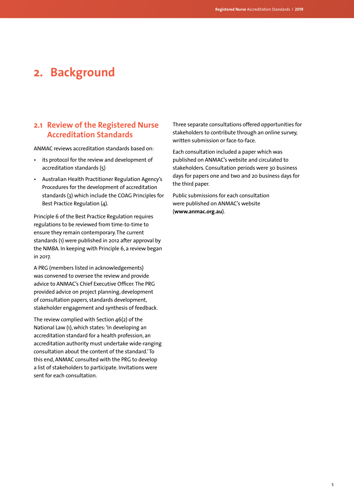## <span id="page-6-0"></span>**2. Background**

#### **2.1 Review of the Registered Nurse Accreditation Standards**

ANMAC reviews accreditation standards based on:

- its protocol for the review and development of accreditation standards (5)
- Australian Health Practitioner Regulation Agency's Procedures for the development of accreditation standards (3) which include the COAG Principles for Best Practice Regulation (4).

Principle 6 of the Best Practice Regulation requires regulations to be reviewed from time-to-time to ensure they remain contemporary. The current standards (1) were published in 2012 after approval by the NMBA. In keeping with Principle 6, a review began in 2017.

A PRG (members listed in acknowledgements) was convened to oversee the review and provide advice to ANMAC's Chief Executive Officer. The PRG provided advice on project planning, development of consultation papers, standards development, stakeholder engagement and synthesis of feedback.

The review complied with Section 46(2) of the National Law (1), which states: 'In developing an accreditation standard for a health profession, an accreditation authority must undertake wide-ranging consultation about the content of the standard.' To this end, ANMAC consulted with the PRG to develop a list of stakeholders to participate. Invitations were sent for each consultation.

Three separate consultations offered opportunities for stakeholders to contribute through an online survey, written submission or face-to-face.

Each consultation included a paper which was published on ANMAC's website and circulated to stakeholders. Consultation periods were 30 business days for papers one and two and 20 business days for the third paper.

Public submissions for each consultation were published on ANMAC's website (**[www.anmac.org.au](http://www.anmac.org.au)**).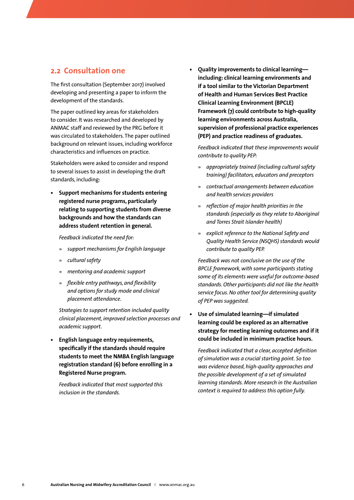#### <span id="page-7-0"></span>**2.2 Consultation one**

The first consultation (September 2017) involved developing and presenting a paper to inform the development of the standards.

The paper outlined key areas for stakeholders to consider. It was researched and developed by ANMAC staff and reviewed by the PRG before it was circulated to stakeholders. The paper outlined background on relevant issues, including workforce characteristics and influences on practice.

Stakeholders were asked to consider and respond to several issues to assist in developing the draft standards, including:

**• Support mechanisms for students entering registered nurse programs, particularly relating to supporting students from diverse backgrounds and how the standards can address student retention in general.**

*Feedback indicated the need for:*

- » *support mechanisms for English language*
- » *cultural safety*
- » *mentoring and academic support*
- » *flexible entry pathways, and flexibility and options for study mode and clinical placement attendance.*

*Strategies to support retention included quality clinical placement, improved selection processes and academic support.*

**• English language entry requirements, specifically if the standards should require students to meet the NMBA English language registration standard (6) before enrolling in a Registered Nurse program.**

*Feedback indicated that most supported this inclusion in the standards.*

**• Quality improvements to clinical learning including: clinical learning environments and if a tool similar to the Victorian Department of Health and Human Services Best Practice Clinical Learning Environment (BPCLE) Framework (7) could contribute to high-quality learning environments across Australia, supervision of professional practice experiences (PEP) and practice readiness of graduates.**

*Feedback indicated that these improvements would contribute to quality PEP:*

- » *appropriately trained (including cultural safety training) facilitators, educators and preceptors*
- » *contractual arrangements between education and health services providers*
- » *reflection of major health priorities in the standards (especially as they relate to Aboriginal and Torres Strait Islander health)*
- » *explicit reference to the National Safety and Quality Health Service (NSQHS) standards would contribute to quality PEP.*

*Feedback was not conclusive on the use of the BPCLE framework, with some participants stating some of its elements were useful for outcome-based standards. Other participants did not like the health service focus. No other tool for determining quality of PEP was suggested.*

**• Use of simulated learning—if simulated learning could be explored as an alternative strategy for meeting learning outcomes and if it could be included in minimum practice hours.**

*Feedback indicated that a clear, accepted definition of simulation was a crucial starting point. So too was evidence based, high-quality approaches and the possible development of a set of simulated learning standards. More research in the Australian context is required to address this option fully.*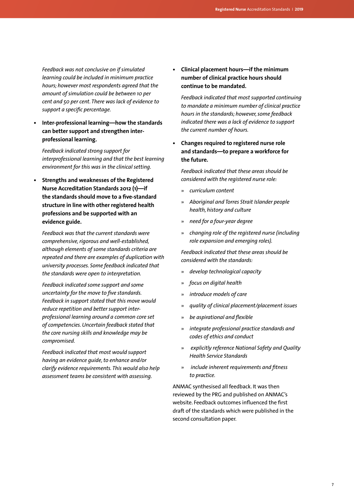*Feedback was not conclusive on if simulated learning could be included in minimum practice hours; however most respondents agreed that the amount of simulation could be between 10 per cent and 50 per cent. There was lack of evidence to support a specific percentage.*

**• Inter-professional learning—how the standards can better support and strengthen interprofessional learning.**

*Feedback indicated strong support for interprofessional learning and that the best learning environment for this was in the clinical setting.*

**• Strengths and weaknesses of the Registered Nurse Accreditation Standards 2012 (1)—if the standards should move to a five-standard structure in line with other registered health professions and be supported with an evidence guide.**

*Feedback was that the current standards were comprehensive, rigorous and well-established, although elements of some standards criteria are repeated and there are examples of duplication with university processes. Some feedback indicated that the standards were open to interpretation.*

*Feedback indicated some support and some uncertainty for the move to five standards. Feedback in support stated that this move would reduce repetition and better support interprofessional learning around a common core set of competencies. Uncertain feedback stated that the core nursing skills and knowledge may be compromised.*

*Feedback indicated that most would support having an evidence guide, to enhance and/or clarify evidence requirements. This would also help assessment teams be consistent with assessing.* 

**• Clinical placement hours—if the minimum number of clinical practice hours should continue to be mandated.**

*Feedback indicated that most supported continuing to mandate a minimum number of clinical practice hours in the standards; however, some feedback indicated there was a lack of evidence to support the current number of hours.*

**• Changes required to registered nurse role and standards—to prepare a workforce for the future.**

*Feedback indicated that these areas should be considered with the registered nurse role:*

- » *curriculum content*
- » *Aboriginal and Torres Strait Islander people health, history and culture*
- » *need for a four-year degree*
- » *changing role of the registered nurse (including role expansion and emerging roles).*

*Feedback indicated that these areas should be considered with the standards:* 

- » *develop technological capacity*
- » *focus on digital health*
- » *introduce models of care*
- » *quality of clinical placement/placement issues*
- » *be aspirational and flexible*
- » *integrate professional practice standards and codes of ethics and conduct*
- » *explicitly reference National Safety and Quality Health Service Standards*
- » *include inherent requirements and fitness to practice.*

ANMAC synthesised all feedback. It was then reviewed by the PRG and published on ANMAC's website. Feedback outcomes influenced the first draft of the standards which were published in the second consultation paper.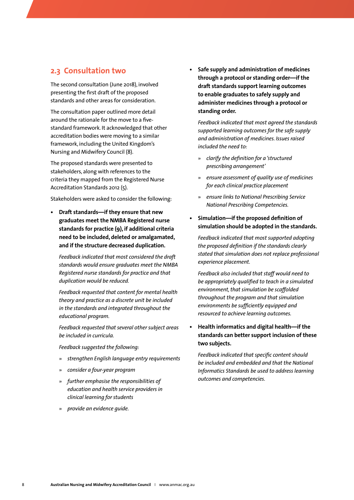#### <span id="page-9-0"></span>**2.3 Consultation two**

The second consultation (June 2018), involved presenting the first draft of the proposed standards and other areas for consideration.

The consultation paper outlined more detail around the rationale for the move to a fivestandard framework. It acknowledged that other accreditation bodies were moving to a similar framework, including the United Kingdom's Nursing and Midwifery Council (8).

The proposed standards were presented to stakeholders, along with references to the criteria they mapped from the Registered Nurse Accreditation Standards 2012 (5).

Stakeholders were asked to consider the following:

**• Draft standards—if they ensure that new graduates meet the NMBA Registered nurse standards for practice (9), if additional criteria need to be included, deleted or amalgamated, and if the structure decreased duplication.**

*Feedback indicated that most considered the draft standards would ensure graduates meet the NMBA Registered nurse standards for practice and that duplication would be reduced.* 

*Feedback requested that content for mental health theory and practice as a discrete unit be included in the standards and integrated throughout the educational program.* 

*Feedback requested that several other subject areas be included in curricula.*

*Feedback suggested the following:* 

- » *strengthen English language entry requirements*
- » *consider a four-year program*
- » *further emphasise the responsibilities of education and health service providers in clinical learning for students*
- » *provide an evidence guide.*

**• Safe supply and administration of medicines through a protocol or standing order—if the draft standards support learning outcomes to enable graduates to safely supply and administer medicines through a protocol or standing order.**

*Feedback indicated that most agreed the standards supported learning outcomes for the safe supply and administration of medicines. Issues raised included the need to:* 

- » *clarify the definition for a 'structured prescribing arrangement'*
- » *ensure assessment of quality use of medicines for each clinical practice placement*
- » *ensure links to National Prescribing Service National Prescribing Competencies.*
- **• Simulation—if the proposed definition of simulation should be adopted in the standards.**

*Feedback indicated that most supported adopting the proposed definition if the standards clearly stated that simulation does not replace professional experience placement.* 

*Feedback also included that staff would need to be appropriately qualified to teach in a simulated environment, that simulation be scaffolded throughout the program and that simulation environments be sufficiently equipped and resourced to achieve learning outcomes.*

**• Health informatics and digital health—if the standards can better support inclusion of these two subjects.**

*Feedback indicated that specific content should be included and embedded and that the National Informatics Standards be used to address learning outcomes and competencies.*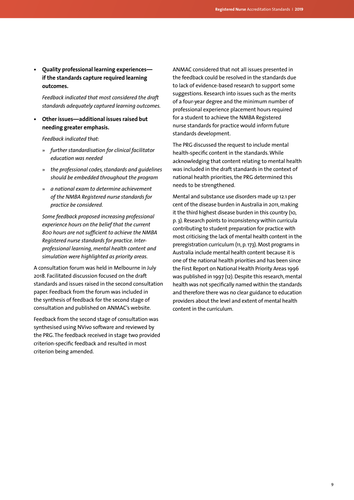**• Quality professional learning experiences if the standards capture required learning outcomes.**

*Feedback indicated that most considered the draft standards adequately captured learning outcomes.*

**• Other issues—additional issues raised but needing greater emphasis.**

*Feedback indicated that:*

- » *further standardisation for clinical facilitator education was needed*
- » *the professional codes, standards and guidelines should be embedded throughout the program*
- » *a national exam to determine achievement of the NMBA Registered nurse standards for practice be considered.*

*Some feedback proposed increasing professional experience hours on the belief that the current 800 hours are not sufficient to achieve the NMBA Registered nurse standards for practice. Interprofessional learning, mental health content and simulation were highlighted as priority areas.*

A consultation forum was held in Melbourne in July 2018. Facilitated discussion focused on the draft standards and issues raised in the second consultation paper. Feedback from the forum was included in the synthesis of feedback for the second stage of consultation and published on ANMAC's website.

Feedback from the second stage of consultation was synthesised using NVivo software and reviewed by the PRG. The feedback received in stage two provided criterion-specific feedback and resulted in most criterion being amended.

ANMAC considered that not all issues presented in the feedback could be resolved in the standards due to lack of evidence-based research to support some suggestions. Research into issues such as the merits of a four-year degree and the minimum number of professional experience placement hours required for a student to achieve the NMBA Registered nurse standards for practice would inform future standards development.

The PRG discussed the request to include mental health-specific content in the standards. While acknowledging that content relating to mental health was included in the draft standards in the context of national health priorities, the PRG determined this needs to be strengthened.

Mental and substance use disorders made up 12.1 per cent of the disease burden in Australia in 2011, making it the third highest disease burden in this country (10, p. 3). Research points to inconsistency within curricula contributing to student preparation for practice with most criticising the lack of mental health content in the preregistration curriculum (11, p. 173). Most programs in Australia include mental health content because it is one of the national health priorities and has been since the First Report on National Health Priority Areas 1996 was published in 1997 (12). Despite this research, mental health was not specifically named within the standards and therefore there was no clear guidance to education providers about the level and extent of mental health content in the curriculum.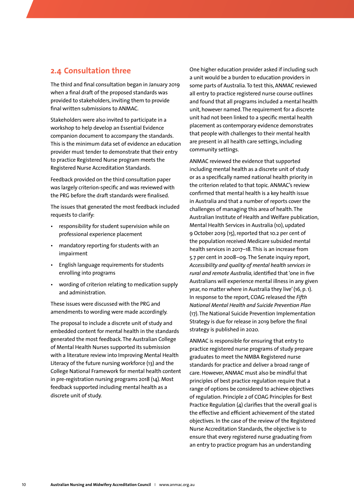#### <span id="page-11-0"></span>**2.4 Consultation three**

The third and final consultation began in January 2019 when a final draft of the proposed standards was provided to stakeholders, inviting them to provide final written submissions to ANMAC.

Stakeholders were also invited to participate in a workshop to help develop an Essential Evidence companion document to accompany the standards. This is the minimum data set of evidence an education provider must tender to demonstrate that their entry to practice Registered Nurse program meets the Registered Nurse Accreditation Standards.

Feedback provided on the third consultation paper was largely criterion-specific and was reviewed with the PRG before the draft standards were finalised.

The issues that generated the most feedback included requests to clarify:

- responsibility for student supervision while on professional experience placement
- mandatory reporting for students with an impairment
- English language requirements for students enrolling into programs
- wording of criterion relating to medication supply and administration.

These issues were discussed with the PRG and amendments to wording were made accordingly.

The proposal to include a discrete unit of study and embedded content for mental health in the standards generated the most feedback. The Australian College of Mental Health Nurses supported its submission with a literature review into Improving Mental Health Literacy of the future nursing workforce (13) and the College National Framework for mental health content in pre-registration nursing programs 2018 (14). Most feedback supported including mental health as a discrete unit of study.

One higher education provider asked if including such a unit would be a burden to education providers in some parts of Australia. To test this, ANMAC reviewed all entry to practice registered nurse course outlines and found that all programs included a mental health unit, however named. The requirement for a discrete unit had not been linked to a specific mental health placement as contemporary evidence demonstrates that people with challenges to their mental health are present in all health care settings, including community settings.

ANMAC reviewed the evidence that supported including mental health as a discrete unit of study or as a specifically named national health priority in the criterion related to that topic. ANMAC's review confirmed that mental health is a key health issue in Australia and that a number of reports cover the challenges of managing this area of health. The Australian Institute of Health and Welfare publication, Mental Health Services in Australia (10), updated 9 October 2019 (15), reported that 10.2 per cent of the population received Medicare subsided mental health services in 2017–18. This is an increase from 5.7 per cent in 2008–09. The Senate inquiry report, *Accessibility and quality of mental health services in rural and remote Australia,* identified that 'one in five Australians will experience mental illness in any given year, no matter where in Australia they live' (16, p. 1). In response to the report, COAG released the *Fifth National Mental Health and Suicide Prevention Plan*  (17). The National Suicide Prevention Implementation Strategy is due for release in 2019 before the final strategy is published in 2020.

ANMAC is responsible for ensuring that entry to practice registered nurse programs of study prepare graduates to meet the NMBA Registered nurse standards for practice and deliver a broad range of care. However, ANMAC must also be mindful that principles of best practice regulation require that a range of options be considered to achieve objectives of regulation. Principle 2 of COAG Principles for Best Practice Regulation (4) clarifies that the overall goal is the effective and efficient achievement of the stated objectives. In the case of the review of the Registered Nurse Accreditation Standards, the objective is to ensure that every registered nurse graduating from an entry to practice program has an understanding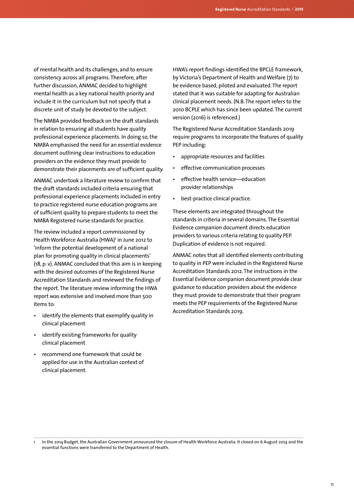of mental health and its challenges, and to ensure consistency across all programs. Therefore, after further discussion, ANMAC decided to highlight mental health as a key national health priority and include it in the curriculum but not specify that a discrete unit of study be devoted to the subject.

The NMBA provided feedback on the draft standards in relation to ensuring all students have quality professional experience placements. In doing so, the NMBA emphasised the need for an essential evidence document outlining clear instructions to education providers on the evidence they must provide to demonstrate their placements are of sufficient quality.

ANMAC undertook a literature review to confirm that the draft standards included criteria ensuring that professional experience placements included in entry to practice registered nurse education programs are of sufficient quality to prepare students to meet the NMBA Registered nurse standards for practice.

The review included a report commissioned by Health Workforce Australia (HWA)<sup>1</sup> in June 2012 to 'inform the potential development of a national plan for promoting quality in clinical placements' (18, p. v). ANMAC concluded that this aim is in keeping with the desired outcomes of the Registered Nurse Accreditation Standards and reviewed the findings of the report. The literature review informing the HWA report was extensive and involved more than 500 items to:

- identify the elements that exemplify quality in clinical placement
- identify existing frameworks for quality clinical placement
- recommend one framework that could be applied for use in the Australian context of clinical placement.

HWA's report findings identified the BPCLE framework, by Victoria's Department of Health and Welfare (7) to be evidence based, piloted and evaluated. The report stated that it was suitable for adapting for Australian clinical placement needs. (N.B. The report refers to the 2010 BCPLE which has since been updated. The current version (2016) is referenced.)

The Registered Nurse Accreditation Standards 2019 require programs to incorporate the features of quality PEP including:

- appropriate resources and facilities
- effective communication processes
- effective health service—education provider relationships
- best-practice clinical practice.

These elements are integrated throughout the standards in criteria in several domains. The Essential Evidence companion document directs education providers to various criteria relating to quality PEP. Duplication of evidence is not required.

ANMAC notes that all identified elements contributing to quality in PEP were included in the Registered Nurse Accreditation Standards 2012. The instructions in the Essential Evidence companion document provide clear guidance to education providers about the evidence they must provide to demonstrate that their program meets the PEP requirements of the Registered Nurse Accreditation Standards 2019.

In the 2014 Budget, the Australian Government announced the closure of Health Workforce Australia. It closed on 6 August 2014 and the essential functions were transferred to the Department of Health.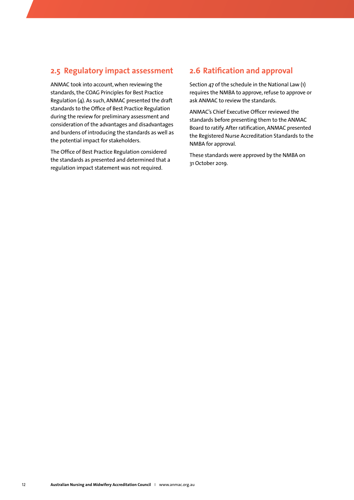#### <span id="page-13-0"></span>**2.5 Regulatory impact assessment**

ANMAC took into account, when reviewing the standards, the COAG Principles for Best Practice Regulation (4). As such, ANMAC presented the draft standards to the Office of Best Practice Regulation during the review for preliminary assessment and consideration of the advantages and disadvantages and burdens of introducing the standards as well as the potential impact for stakeholders.

The Office of Best Practice Regulation considered the standards as presented and determined that a regulation impact statement was not required.

#### **2.6 Ratification and approval**

Section 47 of the schedule in the National Law (1) requires the NMBA to approve, refuse to approve or ask ANMAC to review the standards.

ANMAC's Chief Executive Officer reviewed the standards before presenting them to the ANMAC Board to ratify. After ratification, ANMAC presented the Registered Nurse Accreditation Standards to the NMBA for approval.

These standards were approved by the NMBA on 31 October 2019.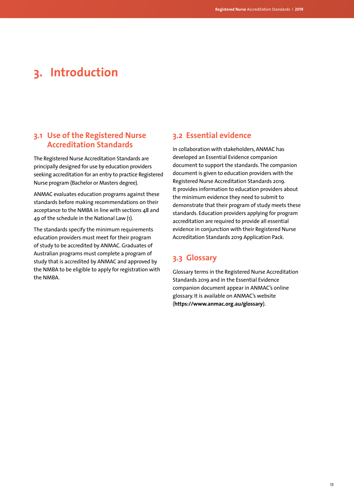# <span id="page-14-0"></span>**3. Introduction**

#### **3.1 Use of the Registered Nurse Accreditation Standards**

The Registered Nurse Accreditation Standards are principally designed for use by education providers seeking accreditation for an entry to practice Registered Nurse program (Bachelor or Masters degree).

ANMAC evaluates education programs against these standards before making recommendations on their acceptance to the NMBA in line with sections 48 and 49 of the schedule in the National Law (1).

The standards specify the minimum requirements education providers must meet for their program of study to be accredited by ANMAC. Graduates of Australian programs must complete a program of study that is accredited by ANMAC and approved by the NMBA to be eligible to apply for registration with the NMBA.

#### **3.2 Essential evidence**

In collaboration with stakeholders, ANMAC has developed an Essential Evidence companion document to support the standards. The companion document is given to education providers with the Registered Nurse Accreditation Standards 2019. It provides information to education providers about the minimum evidence they need to submit to demonstrate that their program of study meets these standards. Education providers applying for program accreditation are required to provide all essential evidence in conjunction with their Registered Nurse Accreditation Standards 2019 Application Pack.

### **3.3 Glossary**

Glossary terms in the Registered Nurse Accreditation Standards 2019 and in the Essential Evidence companion document appear in ANMAC's online glossary. It is available on ANMAC's website (**<https://www.anmac.org.au/glossary>**).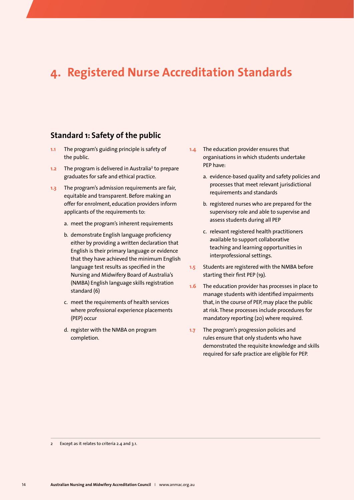## <span id="page-15-0"></span>**4. Registered Nurse Accreditation Standards**

#### **Standard 1: Safety of the public**

- **1.1** The program's guiding principle is safety of the public.
- 1.2 The program is delivered in Australia<sup>2</sup> to prepare graduates for safe and ethical practice.
- **1.3** The program's admission requirements are fair, equitable and transparent. Before making an offer for enrolment, education providers inform applicants of the requirements to:
	- a. meet the program's inherent requirements
	- b. demonstrate English language proficiency either by providing a written declaration that English is their primary language or evidence that they have achieved the minimum English language test results as specified in the Nursing and Midwifery Board of Australia's (NMBA) English language skills registration standard (6)
	- c. meet the requirements of health services where professional experience placements (PEP) occur
	- d. register with the NMBA on program completion.
- **1.4** The education provider ensures that organisations in which students undertake PEP have:
	- a. evidence-based quality and safety policies and processes that meet relevant jurisdictional requirements and standards
	- b. registered nurses who are prepared for the supervisory role and able to supervise and assess students during all PEP
	- c. relevant registered health practitioners available to support collaborative teaching and learning opportunities in interprofessional settings.
- **1.5** Students are registered with the NMBA before starting their first PEP (19).
- **1.6** The education provider has processes in place to manage students with identified impairments that, in the course of PEP, may place the public at risk. These processes include procedures for mandatory reporting (20) where required.
- **1.7** The program's progression policies and rules ensure that only students who have demonstrated the requisite knowledge and skills required for safe practice are eligible for PEP.

<sup>2</sup> Except as it relates to criteria 2.4 and 3.1.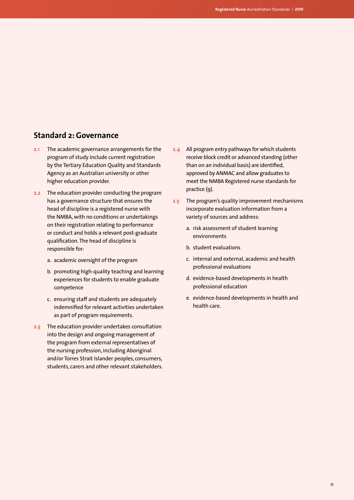### <span id="page-16-0"></span>**Standard 2: Governance**

- **2.1** The academic governance arrangements for the program of study include current registration by the Tertiary Education Quality and Standards Agency as an Australian university or other higher education provider.
- **2.2** The education provider conducting the program has a governance structure that ensures the head of discipline is a registered nurse with the NMBA, with no conditions or undertakings on their registration relating to performance or conduct and holds a relevant post-graduate qualification. The head of discipline is responsible for:
	- a. academic oversight of the program
	- b. promoting high-quality teaching and learning experiences for students to enable graduate competence
	- c. ensuring staff and students are adequately indemnified for relevant activities undertaken as part of program requirements.
- **2.3** The education provider undertakes consultation into the design and ongoing management of the program from external representatives of the nursing profession, including Aboriginal and/or Torres Strait Islander peoples, consumers, students, carers and other relevant stakeholders.
- **2.4** All program entry pathways for which students receive block credit or advanced standing (other than on an individual basis) are identified, approved by ANMAC and allow graduates to meet the NMBA Registered nurse standards for practice (9).
- **2.5** The program's quality improvement mechanisms incorporate evaluation information from a variety of sources and address:
	- a. risk assessment of student learning environments
	- b. student evaluations
	- c. internal and external, academic and health professional evaluations
	- d. evidence-based developments in health professional education
	- e. evidence-based developments in health and health care.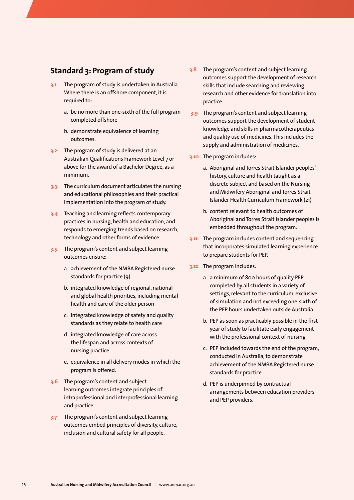#### <span id="page-17-0"></span>**Standard 3: Program of study**

- **3.1** The program of study is undertaken in Australia. Where there is an offshore component, it is required to:
	- a. be no more than one-sixth of the full program completed offshore
	- b. demonstrate equivalence of learning outcomes.
- **3.2** The program of study is delivered at an Australian Qualifications Framework Level 7 or above for the award of a Bachelor Degree, as a minimum.
- **3.3** The curriculum document articulates the nursing and educational philosophies and their practical implementation into the program of study.
- **3.4** Teaching and learning reflects contemporary practices in nursing, health and education, and responds to emerging trends based on research, technology and other forms of evidence.
- **3.5** The program's content and subject learning outcomes ensure:
	- a. achievement of the NMBA Registered nurse standards for practice (9)
	- b. integrated knowledge of regional, national and global health priorities, including mental health and care of the older person
	- c. integrated knowledge of safety and quality standards as they relate to health care
	- d. integrated knowledge of care across the lifespan and across contexts of nursing practice
	- e. equivalence in all delivery modes in which the program is offered.
- **3.6** The program's content and subject learning outcomes integrate principles of intraprofessional and interprofessional learning and practice.
- **3.7** The program's content and subject learning outcomes embed principles of diversity, culture, inclusion and cultural safety for all people.
- **3.8** The program's content and subject learning outcomes support the development of research skills that include searching and reviewing research and other evidence for translation into practice.
- **3.9** The program's content and subject learning outcomes support the development of student knowledge and skills in pharmacotherapeutics and quality use of medicines. This includes the supply and administration of medicines.
- **3.10** The program includes:
	- a. Aboriginal and Torres Strait Islander peoples' history, culture and health taught as a discrete subject and based on the Nursing and Midwifery Aboriginal and Torres Strait Islander Health Curriculum Framework (21)
	- b. content relevant to health outcomes of Aboriginal and Torres Strait Islander peoples is embedded throughout the program.
- **3.11** The program includes content and sequencing that incorporates simulated learning experience to prepare students for PEP.
- **3.12** The program includes:
	- a. a minimum of 800 hours of quality PEP completed by all students in a variety of settings, relevant to the curriculum, exclusive of simulation and not exceeding one-sixth of the PEP hours undertaken outside Australia
	- b. PEP as soon as practicably possible in the first year of study to facilitate early engagement with the professional context of nursing
	- c. PEP included towards the end of the program, conducted in Australia, to demonstrate achievement of the NMBA Registered nurse standards for practice
	- d. PEP is underpinned by contractual arrangements between education providers and PEP providers.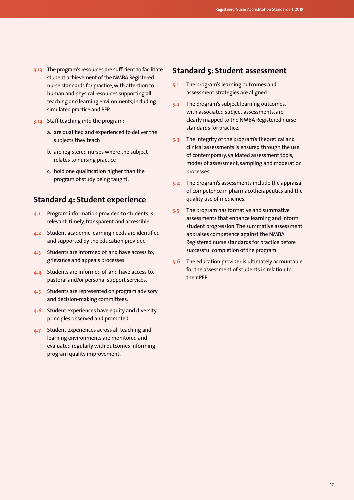- <span id="page-18-0"></span>**3.13** The program's resources are sufficient to facilitate student achievement of the NMBA Registered nurse standards for practice, with attention to human and physical resources supporting all teaching and learning environments, including simulated practice and PEP.
- **3.14** Staff teaching into the program:
	- a. are qualified and experienced to deliver the subjects they teach
	- b. are registered nurses where the subject relates to nursing practice
	- c. hold one qualification higher than the program of study being taught.

### **Standard 4: Student experience**

- **4.1** Program information provided to students is relevant, timely, transparent and accessible.
- **4.2** Student academic learning needs are identified and supported by the education provider.
- **4.3** Students are informed of, and have access to, grievance and appeals processes.
- **4.4** Students are informed of, and have access to, pastoral and/or personal support services.
- **4.5** Students are represented on program advisory and decision-making committees.
- **4.6** Student experiences have equity and diversity principles observed and promoted.
- **4.7** Student experiences across all teaching and learning environments are monitored and evaluated regularly with outcomes informing program quality improvement.

### **Standard 5: Student assessment**

- **5.1** The program's learning outcomes and assessment strategies are aligned.
- **5.2** The program's subject learning outcomes, with associated subject assessments, are clearly mapped to the NMBA Registered nurse standards for practice.
- **5.3** The integrity of the program's theoretical and clinical assessments is ensured through the use of contemporary, validated assessment tools, modes of assessment, sampling and moderation processes.
- **5.4** The program's assessments include the appraisal of competence in pharmacotherapeutics and the quality use of medicines.
- **5.5** The program has formative and summative assessments that enhance learning and inform student progression. The summative assessment appraises competence against the NMBA Registered nurse standards for practice before successful completion of the program.
- **5.6** The education provider is ultimately accountable for the assessment of students in relation to their PEP.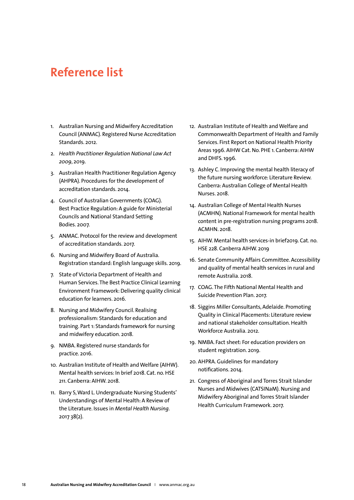## <span id="page-19-0"></span>**Reference list**

- 1. Australian Nursing and Midwifery Accreditation Council (ANMAC). Registered Nurse Accreditation Standards. 2012.
- 2. *Health Practitioner Regulation National Law Act 2009*, 2019.
- 3. Australian Health Practitioner Regulation Agency (AHPRA). Procedures for the development of accreditation standards. 2014.
- 4. Council of Australian Governments (COAG). Best Practice Regulation: A guide for Ministerial Councils and National Standard Setting Bodies. 2007.
- 5. ANMAC. Protocol for the review and development of accreditation standards. 2017.
- 6. Nursing and Midwifery Board of Australia. Registration standard: English language skills. 2019.
- 7. State of Victoria Department of Health and Human Services. The Best Practice Clinical Learning Environment Framework: Delivering quality clinical education for learners. 2016.
- 8. Nursing and Midwifery Council. Realising professionalism: Standards for education and training. Part 1: Standards framework for nursing and midwifery education. 2018.
- 9. NMBA. Registered nurse standards for practice. 2016.
- 10. Australian Institute of Health and Welfare (AIHW). Mental health services: In brief 2018. Cat. no. HSE 211. Canberra: AIHW. 2018.
- 11. Barry S, Ward L. Undergraduate Nursing Students' Understandings of Mental Health: A Review of the Literature. Issues in *Mental Health Nursing*. 2017 38(2).
- 12. Australian Institute of Health and Welfare and Commonwealth Department of Health and Family Services. First Report on National Health Priority Areas 1996. AIHW Cat. No. PHE 1. Canberra: AIHW and DHFS. 1996.
- 13. Ashley C. Improving the mental health literacy of the future nursing workforce: Literature Review. Canberra: Australian College of Mental Health Nurses. 2018.
- 14. Australian College of Mental Health Nurses (ACMHN). National Framework for mental health content in pre-registration nursing programs 2018. ACMHN. 2018.
- 15. AIHW. Mental health services-in brief2019. Cat. no. HSE 228. Canberra AIHW. 2019
- 16. Senate Community Affairs Committee. Accessibility and quality of mental health services in rural and remote Australia. 2018.
- 17. COAG. The Fifth National Mental Health and Suicide Prevention Plan. 2017.
- 18. Siggins Miller Consultants, Adelaide. Promoting Quality in Clinical Placements: Literature review and national stakeholder consultation. Health Workforce Australia. 2012.
- 19. NMBA. Fact sheet: For education providers on student registration. 2019.
- 20. AHPRA. Guidelines for mandatory notifications. 2014.
- 21. Congress of Aboriginal and Torres Strait Islander Nurses and Midwives (CATSINaM). Nursing and Midwifery Aboriginal and Torres Strait Islander Health Curriculum Framework. 2017.